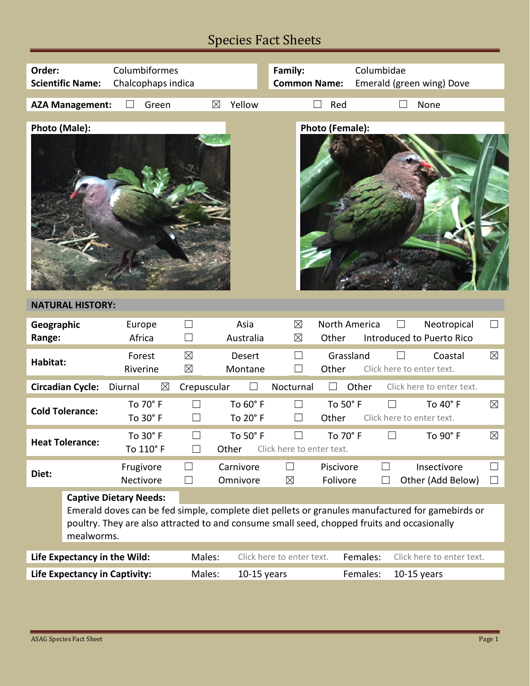## Species Fact Sheets

| Columbiformes<br>Order:<br>Chalcophaps indica<br><b>Scientific Name:</b>                                                                 |                                                                                                                                                                                                                                                |                        |                            | Family:<br><b>Common Name:</b> |                                     | Columbidae<br>Emerald (green wing) Dove |          |                                                               |             |
|------------------------------------------------------------------------------------------------------------------------------------------|------------------------------------------------------------------------------------------------------------------------------------------------------------------------------------------------------------------------------------------------|------------------------|----------------------------|--------------------------------|-------------------------------------|-----------------------------------------|----------|---------------------------------------------------------------|-------------|
|                                                                                                                                          | <b>AZA Management:</b>                                                                                                                                                                                                                         | Green                  | $\boxtimes$                | Yellow                         | $\Box$                              | Red                                     |          | None                                                          |             |
| Photo (Male):                                                                                                                            |                                                                                                                                                                                                                                                |                        |                            |                                |                                     | Photo (Female):                         |          |                                                               |             |
|                                                                                                                                          | <b>NATURAL HISTORY:</b>                                                                                                                                                                                                                        |                        |                            |                                |                                     |                                         |          |                                                               |             |
| Geographic<br>Range:                                                                                                                     |                                                                                                                                                                                                                                                | Europe<br>Africa       | $\overline{\phantom{0}}$   | Asia<br>Australia              | $\boxtimes$<br>⊠                    | North America<br>Other                  |          | Neotropical<br>$\vert \ \ \vert$<br>Introduced to Puerto Rico |             |
| Habitat:                                                                                                                                 |                                                                                                                                                                                                                                                | Forest<br>Riverine     | $\boxtimes$<br>$\boxtimes$ | Desert<br>Montane              | П<br>$\mathbb{R}^n$                 | Grassland<br>Other                      |          | Coastal<br>Click here to enter text.                          | $\boxtimes$ |
| <b>Circadian Cycle:</b><br>Other<br>Diurnal<br>$\boxtimes$<br>Crepuscular<br>Nocturnal<br>Click here to enter text.<br>$\Box$<br>$\perp$ |                                                                                                                                                                                                                                                |                        |                            |                                |                                     |                                         |          |                                                               |             |
| <b>Cold Tolerance:</b>                                                                                                                   |                                                                                                                                                                                                                                                | To 70° F<br>To 30° F   | $\Box$<br>$\Box$           | To 60° F<br>To 20° F           | $\Box$<br>$\Box$                    | To 50° F<br>Other                       |          | To 40° F<br>Click here to enter text.                         | $\boxtimes$ |
|                                                                                                                                          | <b>Heat Tolerance:</b>                                                                                                                                                                                                                         | To 30° F<br>To 110° F  | $\Box$<br>$\Box$<br>Other  | To 50° F                       | $\Box$<br>Click here to enter text. | To 70° F                                |          | To 90° F                                                      | $\boxtimes$ |
| Diet:                                                                                                                                    |                                                                                                                                                                                                                                                | Frugivore<br>Nectivore |                            | Carnivore<br>Omnivore          | $\Box$<br>$\boxtimes$               | Piscivore<br>Folivore                   |          | Insectivore<br>Other (Add Below)                              | ப           |
|                                                                                                                                          | <b>Captive Dietary Needs:</b><br>Emerald doves can be fed simple, complete diet pellets or granules manufactured for gamebirds or<br>poultry. They are also attracted to and consume small seed, chopped fruits and occasionally<br>mealworms. |                        |                            |                                |                                     |                                         |          |                                                               |             |
| Life Expectancy in the Wild:                                                                                                             |                                                                                                                                                                                                                                                |                        | Males:                     |                                | Click here to enter text.           |                                         | Females: | Click here to enter text.                                     |             |
| <b>Life Expectancy in Captivity:</b>                                                                                                     |                                                                                                                                                                                                                                                |                        | Males:<br>$10-15$ years    |                                |                                     |                                         | Females: | $10-15$ years                                                 |             |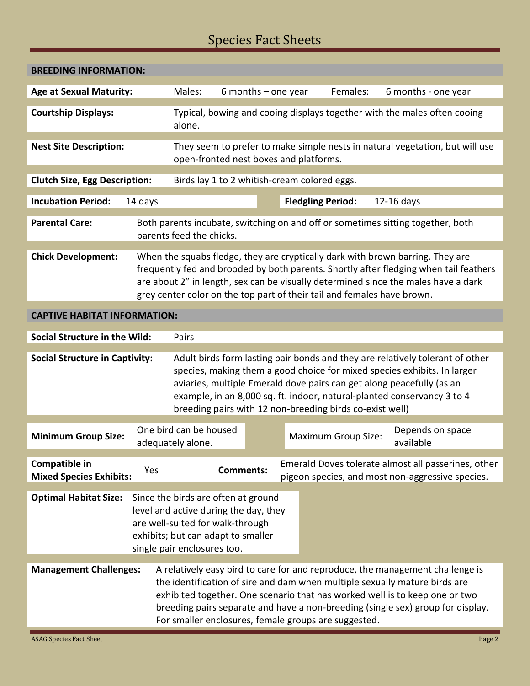## Species Fact Sheets

| <b>BREEDING INFORMATION:</b>                                                                                                                                                                                                                                                                                                                                                                                           |                                                                                                                                                                                                                                                                                                                                                                           |                                             |                  |                                                             |                     |                                                                                                         |  |
|------------------------------------------------------------------------------------------------------------------------------------------------------------------------------------------------------------------------------------------------------------------------------------------------------------------------------------------------------------------------------------------------------------------------|---------------------------------------------------------------------------------------------------------------------------------------------------------------------------------------------------------------------------------------------------------------------------------------------------------------------------------------------------------------------------|---------------------------------------------|------------------|-------------------------------------------------------------|---------------------|---------------------------------------------------------------------------------------------------------|--|
| <b>Age at Sexual Maturity:</b>                                                                                                                                                                                                                                                                                                                                                                                         | Males:                                                                                                                                                                                                                                                                                                                                                                    | 6 months $-$ one year                       | Females:         |                                                             | 6 months - one year |                                                                                                         |  |
| <b>Courtship Displays:</b>                                                                                                                                                                                                                                                                                                                                                                                             | Typical, bowing and cooing displays together with the males often cooing<br>alone.                                                                                                                                                                                                                                                                                        |                                             |                  |                                                             |                     |                                                                                                         |  |
| <b>Nest Site Description:</b>                                                                                                                                                                                                                                                                                                                                                                                          | They seem to prefer to make simple nests in natural vegetation, but will use<br>open-fronted nest boxes and platforms.                                                                                                                                                                                                                                                    |                                             |                  |                                                             |                     |                                                                                                         |  |
| <b>Clutch Size, Egg Description:</b>                                                                                                                                                                                                                                                                                                                                                                                   | Birds lay 1 to 2 whitish-cream colored eggs.                                                                                                                                                                                                                                                                                                                              |                                             |                  |                                                             |                     |                                                                                                         |  |
| <b>Incubation Period:</b>                                                                                                                                                                                                                                                                                                                                                                                              | 14 days                                                                                                                                                                                                                                                                                                                                                                   |                                             |                  | <b>Fledgling Period:</b>                                    |                     | $12-16$ days                                                                                            |  |
| <b>Parental Care:</b>                                                                                                                                                                                                                                                                                                                                                                                                  |                                                                                                                                                                                                                                                                                                                                                                           | parents feed the chicks.                    |                  |                                                             |                     | Both parents incubate, switching on and off or sometimes sitting together, both                         |  |
| <b>Chick Development:</b>                                                                                                                                                                                                                                                                                                                                                                                              | When the squabs fledge, they are cryptically dark with brown barring. They are<br>frequently fed and brooded by both parents. Shortly after fledging when tail feathers<br>are about 2" in length, sex can be visually determined since the males have a dark<br>grey center color on the top part of their tail and females have brown.                                  |                                             |                  |                                                             |                     |                                                                                                         |  |
| <b>CAPTIVE HABITAT INFORMATION:</b>                                                                                                                                                                                                                                                                                                                                                                                    |                                                                                                                                                                                                                                                                                                                                                                           |                                             |                  |                                                             |                     |                                                                                                         |  |
| <b>Social Structure in the Wild:</b>                                                                                                                                                                                                                                                                                                                                                                                   |                                                                                                                                                                                                                                                                                                                                                                           | Pairs                                       |                  |                                                             |                     |                                                                                                         |  |
| <b>Social Structure in Captivity:</b>                                                                                                                                                                                                                                                                                                                                                                                  | Adult birds form lasting pair bonds and they are relatively tolerant of other<br>species, making them a good choice for mixed species exhibits. In larger<br>aviaries, multiple Emerald dove pairs can get along peacefully (as an<br>example, in an 8,000 sq. ft. indoor, natural-planted conservancy 3 to 4<br>breeding pairs with 12 non-breeding birds co-exist well) |                                             |                  |                                                             |                     |                                                                                                         |  |
| <b>Minimum Group Size:</b>                                                                                                                                                                                                                                                                                                                                                                                             |                                                                                                                                                                                                                                                                                                                                                                           | One bird can be housed<br>adequately alone. |                  | Depends on space<br><b>Maximum Group Size:</b><br>available |                     |                                                                                                         |  |
| Compatible in<br><b>Mixed Species Exhibits:</b>                                                                                                                                                                                                                                                                                                                                                                        | Yes                                                                                                                                                                                                                                                                                                                                                                       |                                             | <b>Comments:</b> |                                                             |                     | Emerald Doves tolerate almost all passerines, other<br>pigeon species, and most non-aggressive species. |  |
| <b>Optimal Habitat Size:</b>                                                                                                                                                                                                                                                                                                                                                                                           | Since the birds are often at ground<br>level and active during the day, they<br>are well-suited for walk-through<br>exhibits; but can adapt to smaller<br>single pair enclosures too.                                                                                                                                                                                     |                                             |                  |                                                             |                     |                                                                                                         |  |
| A relatively easy bird to care for and reproduce, the management challenge is<br><b>Management Challenges:</b><br>the identification of sire and dam when multiple sexually mature birds are<br>exhibited together. One scenario that has worked well is to keep one or two<br>breeding pairs separate and have a non-breeding (single sex) group for display.<br>For smaller enclosures, female groups are suggested. |                                                                                                                                                                                                                                                                                                                                                                           |                                             |                  |                                                             |                     |                                                                                                         |  |